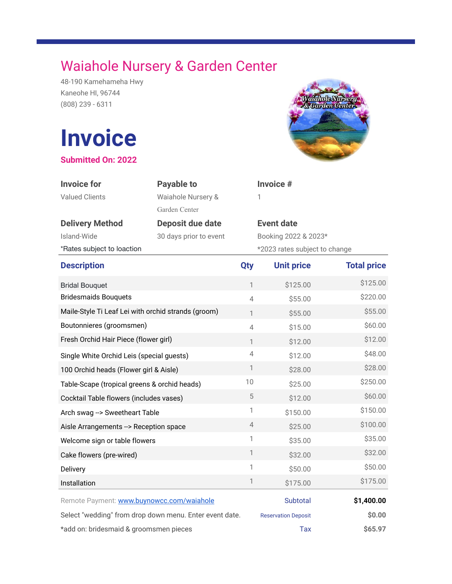## Waiahole Nursery & Garden Center

48-190 Kamehameha Hwy Kaneohe HI, 96744 (808) 239 - 6311

## **Invoice**

**Submitted On: 2022**



| <b>Invoice for</b><br><b>Valued Clients</b>             | <b>Payable to</b><br>Waiahole Nursery &<br>Garden Center |                | Invoice #<br>1                |                    |
|---------------------------------------------------------|----------------------------------------------------------|----------------|-------------------------------|--------------------|
| <b>Delivery Method</b>                                  | <b>Deposit due date</b>                                  |                | <b>Event date</b>             |                    |
| Island-Wide                                             | 30 days prior to event                                   |                | Booking 2022 & 2023*          |                    |
| *Rates subject to loaction                              |                                                          |                | *2023 rates subject to change |                    |
| <b>Description</b>                                      |                                                          | <b>Qty</b>     | <b>Unit price</b>             | <b>Total price</b> |
| <b>Bridal Bouquet</b>                                   |                                                          | $\mathbb{1}$   | \$125.00                      | \$125.00           |
| <b>Bridesmaids Bouquets</b>                             |                                                          | $\overline{4}$ | \$55.00                       | \$220.00           |
| Maile-Style Ti Leaf Lei with orchid strands (groom)     |                                                          | $\mathbf{1}$   | \$55.00                       | \$55.00            |
| Boutonnieres (groomsmen)                                |                                                          | $\overline{4}$ | \$15.00                       | \$60.00            |
| Fresh Orchid Hair Piece (flower girl)                   |                                                          | $\mathbf{1}$   | \$12.00                       | \$12.00            |
| Single White Orchid Leis (special guests)               |                                                          | $\overline{4}$ | \$12.00                       | \$48.00            |
| 100 Orchid heads (Flower girl & Aisle)                  |                                                          | $\mathbf{1}$   | \$28.00                       | \$28.00            |
| Table-Scape (tropical greens & orchid heads)            |                                                          | 10             | \$25.00                       | \$250.00           |
| Cocktail Table flowers (includes vases)                 |                                                          | $\mathbf 5$    | \$12.00                       | \$60.00            |
| Arch swag --> Sweetheart Table                          |                                                          | 1              | \$150.00                      | \$150.00           |
| Aisle Arrangements --> Reception space                  |                                                          | 4              | \$25.00                       | \$100.00           |
| Welcome sign or table flowers                           |                                                          | 1              | \$35.00                       | \$35.00            |
| Cake flowers (pre-wired)                                |                                                          | $\mathbf{1}$   | \$32.00                       | \$32.00            |
| Delivery                                                |                                                          | 1              | \$50.00                       | \$50.00            |
| Installation                                            |                                                          | $\mathbb{1}$   | \$175.00                      | \$175.00           |
| Remote Payment: www.buynowcc.com/waiahole               |                                                          |                | Subtotal                      | \$1,400.00         |
| Select "wedding" from drop down menu. Enter event date. |                                                          |                | <b>Reservation Deposit</b>    | \$0.00             |
| *add on: bridesmaid & groomsmen pieces                  |                                                          |                | Tax                           | \$65.97            |